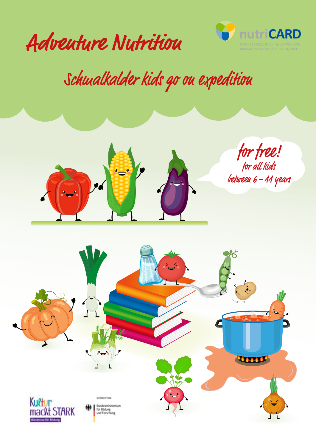



## Schwalkalder kids go ou expedition